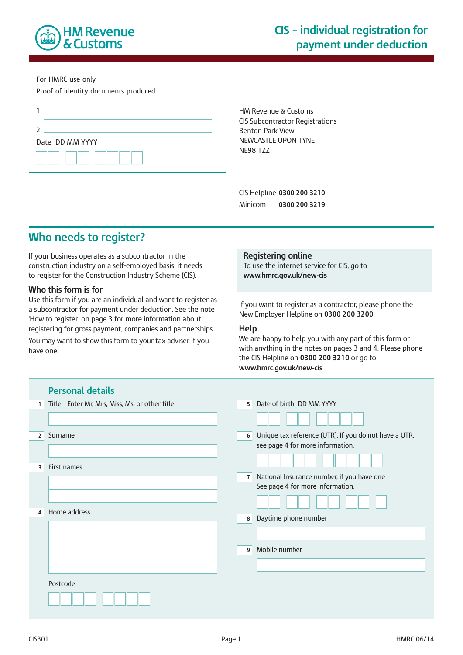

#### For HMRC use only



HM Revenue & Customs CIS Subcontractor Registrations Benton Park View NEWCASTLE UPON TYNE NE98 1ZZ

CIS Helpline **0300 200 3210** Minicom **0300 200 3219**

# **Who needs to register?**

If your business operates as a subcontractor in the construction industry on a self-employed basis, it needs to register for the Construction Industry Scheme (CIS).

#### **Who this form is for**

Use this form if you are an individual and want to register as a subcontractor for payment under deduction. See the note 'How to register' on page 3 for more information about registering for gross payment, companies and partnerships.

You may want to show this form to your tax adviser if you have one.

#### **Registering online**

To use the internet service for CIS, go to **www.hmrc.gov.uk/new-cis**

If you want to register as a contractor, please phone the New Employer Helpline on **0300 200 3200.**

#### **Help**

We are happy to help you with any part of this form or with anything in the notes on pages 3 and 4. Please phone the CIS Helpline on **0300 200 3210** or go to **www.hmrc.gov.uk/new-cis**

| <b>Personal details</b>                             |                                                                                                |
|-----------------------------------------------------|------------------------------------------------------------------------------------------------|
| Title Enter Mr, Mrs, Miss, Ms, or other title.<br>1 | Date of birth DD MM YYYY<br>5                                                                  |
|                                                     |                                                                                                |
| Surname<br>$\overline{2}$                           | Unique tax reference (UTR). If you do not have a UTR,<br>6<br>see page 4 for more information. |
| First names<br>3                                    |                                                                                                |
|                                                     | National Insurance number, if you have one<br>7<br>See page 4 for more information.            |
|                                                     |                                                                                                |
| Home address<br>4                                   | Daytime phone number<br>8                                                                      |
|                                                     |                                                                                                |
|                                                     | Mobile number<br>9                                                                             |
|                                                     |                                                                                                |
| Postcode                                            |                                                                                                |
|                                                     |                                                                                                |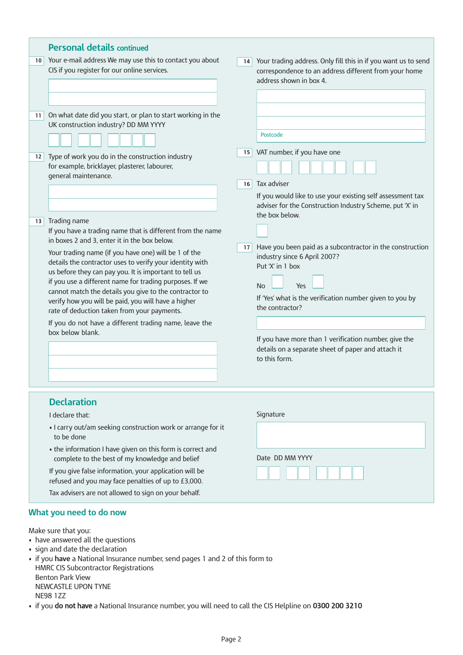|                         |                                                                                                                                                                                                                                                                                                                                                                                                       | <b>Personal details continued</b>                                                                                          |                                                                                                                                                                                                                  |                                                                                                                                                    |  |  |
|-------------------------|-------------------------------------------------------------------------------------------------------------------------------------------------------------------------------------------------------------------------------------------------------------------------------------------------------------------------------------------------------------------------------------------------------|----------------------------------------------------------------------------------------------------------------------------|------------------------------------------------------------------------------------------------------------------------------------------------------------------------------------------------------------------|----------------------------------------------------------------------------------------------------------------------------------------------------|--|--|
|                         | 10 <sup>1</sup>                                                                                                                                                                                                                                                                                                                                                                                       | Your e-mail address We may use this to contact you about<br>CIS if you register for our online services.                   | 14                                                                                                                                                                                                               | Your trading address. Only fill this in if you want us to send<br>correspondence to an address different from your home<br>address shown in box 4. |  |  |
|                         |                                                                                                                                                                                                                                                                                                                                                                                                       |                                                                                                                            |                                                                                                                                                                                                                  |                                                                                                                                                    |  |  |
|                         | 11 <sub>1</sub>                                                                                                                                                                                                                                                                                                                                                                                       | On what date did you start, or plan to start working in the<br>UK construction industry? DD MM YYYY                        |                                                                                                                                                                                                                  | Postcode                                                                                                                                           |  |  |
|                         |                                                                                                                                                                                                                                                                                                                                                                                                       |                                                                                                                            | 15                                                                                                                                                                                                               | VAT number, if you have one                                                                                                                        |  |  |
|                         | 12 <sup>2</sup>                                                                                                                                                                                                                                                                                                                                                                                       | Type of work you do in the construction industry<br>for example, bricklayer, plasterer, labourer,<br>general maintenance.  |                                                                                                                                                                                                                  |                                                                                                                                                    |  |  |
|                         |                                                                                                                                                                                                                                                                                                                                                                                                       |                                                                                                                            | 16                                                                                                                                                                                                               | Tax adviser                                                                                                                                        |  |  |
|                         |                                                                                                                                                                                                                                                                                                                                                                                                       |                                                                                                                            |                                                                                                                                                                                                                  | If you would like to use your existing self assessment tax<br>adviser for the Construction Industry Scheme, put 'X' in<br>the box below.           |  |  |
| 13 <sup>1</sup>         |                                                                                                                                                                                                                                                                                                                                                                                                       | Trading name<br>If you have a trading name that is different from the name<br>in boxes 2 and 3, enter it in the box below. |                                                                                                                                                                                                                  |                                                                                                                                                    |  |  |
|                         | Your trading name (if you have one) will be 1 of the<br>details the contractor uses to verify your identity with<br>us before they can pay you. It is important to tell us<br>if you use a different name for trading purposes. If we<br>cannot match the details you give to the contractor to<br>verify how you will be paid, you will have a higher<br>rate of deduction taken from your payments. | 17                                                                                                                         | Have you been paid as a subcontractor in the construction<br>industry since 6 April 2007?<br>Put 'X' in 1 box<br><b>No</b><br>Yes<br>If 'Yes' what is the verification number given to you by<br>the contractor? |                                                                                                                                                    |  |  |
|                         |                                                                                                                                                                                                                                                                                                                                                                                                       | If you do not have a different trading name, leave the                                                                     |                                                                                                                                                                                                                  |                                                                                                                                                    |  |  |
|                         |                                                                                                                                                                                                                                                                                                                                                                                                       | box below blank.                                                                                                           |                                                                                                                                                                                                                  | If you have more than 1 verification number, give the<br>details on a separate sheet of paper and attach it<br>to this form.                       |  |  |
|                         |                                                                                                                                                                                                                                                                                                                                                                                                       |                                                                                                                            |                                                                                                                                                                                                                  |                                                                                                                                                    |  |  |
|                         |                                                                                                                                                                                                                                                                                                                                                                                                       |                                                                                                                            |                                                                                                                                                                                                                  |                                                                                                                                                    |  |  |
|                         |                                                                                                                                                                                                                                                                                                                                                                                                       | <b>Declaration</b><br>I declare that:                                                                                      |                                                                                                                                                                                                                  | Signature                                                                                                                                          |  |  |
|                         |                                                                                                                                                                                                                                                                                                                                                                                                       | . I carry out/am seeking construction work or arrange for it<br>to be done                                                 |                                                                                                                                                                                                                  |                                                                                                                                                    |  |  |
|                         |                                                                                                                                                                                                                                                                                                                                                                                                       | • the information I have given on this form is correct and<br>complete to the best of my knowledge and belief              |                                                                                                                                                                                                                  | Date DD MM YYYY                                                                                                                                    |  |  |
|                         |                                                                                                                                                                                                                                                                                                                                                                                                       | If you give false information, your application will be<br>refused and you may face penalties of up to £3,000.             |                                                                                                                                                                                                                  |                                                                                                                                                    |  |  |
|                         |                                                                                                                                                                                                                                                                                                                                                                                                       | Tax advisers are not allowed to sign on your behalf.                                                                       |                                                                                                                                                                                                                  |                                                                                                                                                    |  |  |
| What you need to do now |                                                                                                                                                                                                                                                                                                                                                                                                       |                                                                                                                            |                                                                                                                                                                                                                  |                                                                                                                                                    |  |  |
| Make sure that you:     |                                                                                                                                                                                                                                                                                                                                                                                                       |                                                                                                                            |                                                                                                                                                                                                                  |                                                                                                                                                    |  |  |
|                         | • have answered all the questions                                                                                                                                                                                                                                                                                                                                                                     |                                                                                                                            |                                                                                                                                                                                                                  |                                                                                                                                                    |  |  |

- sign and date the declaration
- if you **have** a National Insurance number, send pages 1 and 2 of this form to HMRC CIS Subcontractor Registrations Benton Park View NEWCASTLE UPON TYNE NE98 1ZZ
- if you do not have a National Insurance number, you will need to call the CIS Helpline on 0300 200 3210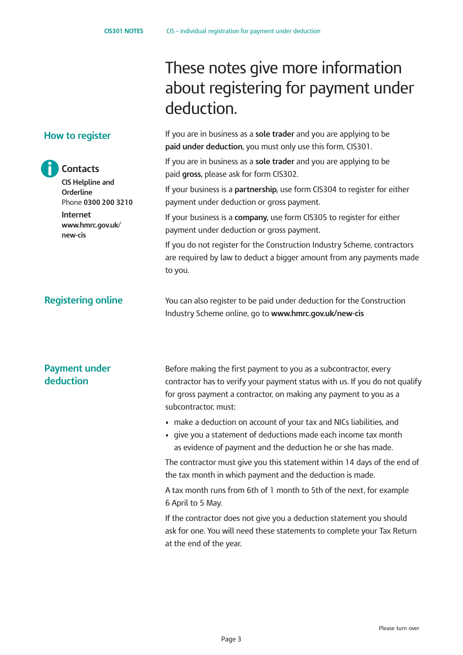paid **gross,** please ask for form CIS302.

payment under deduction or gross payment.

payment under deduction or gross payment.

deduction.

to you.

These notes give more information

If you are in business as a **sole trader** and you are applying to be

If you are in business as a **sole trader** and you are applying to be

If your business is a **partnership,** use form CIS304 to register for either

If your business is a **company,** use form CIS305 to register for either

If you do not register for the Construction Industry Scheme, contractors are required by law to deduct a bigger amount from any payments made

**paid under deduction,** you must only use this form, CIS301.

about registering for payment under

### **How to register**

## **Contacts**

**CIS Helpline and Orderline** Phone **0300 200 3210 Internet [www.hmrc.gov.uk](www.hmrc.gov.uk/new-cis)**/ **[new-cis](www.hmrc.gov.uk/new-cis)**

## **Registering online**

## You can also register to be paid under deduction for the Construction Industry Scheme online, go to **www.hmrc.gov.uk/new-cis**

## **Payment under deduction**

Before making the first payment to you as a subcontractor, every contractor has to verify your payment status with us. If you do not qualify for gross payment a contractor, on making any payment to you as a subcontractor, must:

- make a deduction on account of your tax and NICs liabilities, and
- give you a statement of deductions made each income tax month as evidence of payment and the deduction he or she has made.

The contractor must give you this statement within 14 days of the end of the tax month in which payment and the deduction is made.

A tax month runs from 6th of 1 month to 5th of the next, for example 6 April to 5 May.

If the contractor does not give you a deduction statement you should ask for one. You will need these statements to complete your Tax Return at the end of the year.